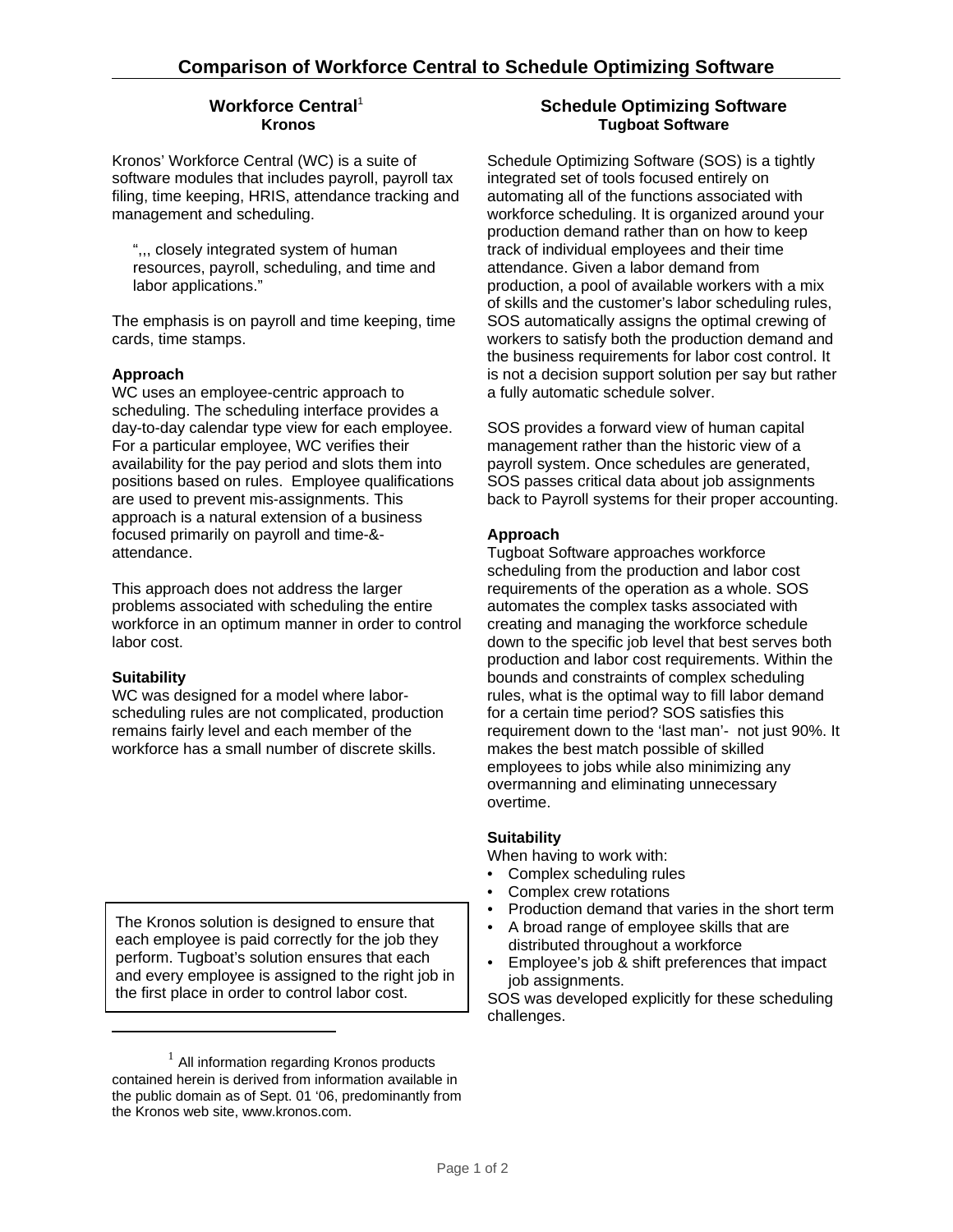## Workforce Central<sup>1</sup> **Kronos**

Kronos' Workforce Central (WC) is a suite of software modules that includes payroll, payroll tax filing, time keeping, HRIS, attendance tracking and management and scheduling.

",,, closely integrated system of human resources, payroll, scheduling, and time and labor applications."

The emphasis is on payroll and time keeping, time cards, time stamps.

## **Approach**

WC uses an employee-centric approach to scheduling. The scheduling interface provides a day-to-day calendar type view for each employee. For a particular employee, WC verifies their availability for the pay period and slots them into positions based on rules. Employee qualifications are used to prevent mis-assignments. This approach is a natural extension of a business focused primarily on payroll and time-& attendance.

This approach does not address the larger problems associated with scheduling the entire workforce in an optimum manner in order to control labor cost.

# **Suitability**

WC was designed for a model where laborscheduling rules are not complicated, production remains fairly level and each member of the workforce has a small number of discrete skills.

The Kronos solution is designed to ensure that each employee is paid correctly for the job they perform. Tugboat's solution ensures that each and every employee is assigned to the right job in the first place in order to control labor cost.

# **Schedule Optimizing Software Tugboat Software**

Schedule Optimizing Software (SOS) is a tightly integrated set of tools focused entirely on automating all of the functions associated with workforce scheduling. It is organized around your production demand rather than on how to keep track of individual employees and their time attendance. Given a labor demand from production, a pool of available workers with a mix of skills and the customer's labor scheduling rules, SOS automatically assigns the optimal crewing of workers to satisfy both the production demand and the business requirements for labor cost control. It is not a decision support solution per say but rather a fully automatic schedule solver.

SOS provides a forward view of human capital management rather than the historic view of a payroll system. Once schedules are generated, SOS passes critical data about job assignments back to Payroll systems for their proper accounting.

# **Approach**

Tugboat Software approaches workforce scheduling from the production and labor cost requirements of the operation as a whole. SOS automates the complex tasks associated with creating and managing the workforce schedule down to the specific job level that best serves both production and labor cost requirements. Within the bounds and constraints of complex scheduling rules, what is the optimal way to fill labor demand for a certain time period? SOS satisfies this requirement down to the 'last man'- not just 90%. It makes the best match possible of skilled employees to jobs while also minimizing any overmanning and eliminating unnecessary overtime.

### **Suitability**

When having to work with:

- Complex scheduling rules
- Complex crew rotations
- Production demand that varies in the short term
- A broad range of employee skills that are distributed throughout a workforce
- Employee's job & shift preferences that impact job assignments.

SOS was developed explicitly for these scheduling challenges.

 $<sup>1</sup>$  All information regarding Kronos products</sup> contained herein is derived from information available in the public domain as of Sept. 01 '06, predominantly from the Kronos web site, www.kronos.com.